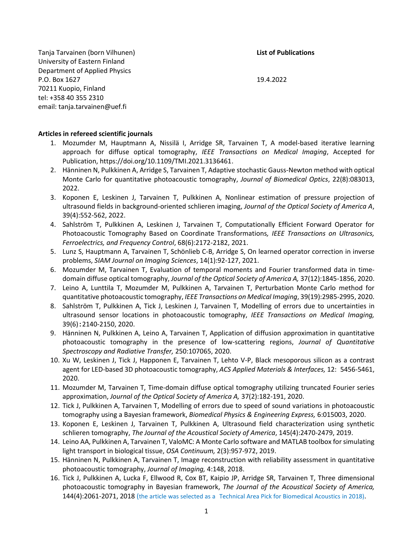Tanja Tarvainen (born Vilhunen) **List of Publications** University of Eastern Finland Department of Applied Physics P.O. Box 1627 19.4.2022 70211 Kuopio, Finland tel: +358 40 355 2310 email: tanja.tarvainen@uef.fi

### **Articles in refereed scientific journals**

- 1. Mozumder M, Hauptmann A, Nissilä I, Arridge SR, Tarvainen T, A model-based iterative learning approach for diffuse optical tomography, *IEEE Transactions on Medical Imaging*, Accepted for Publication, https://doi.org/10.1109/TMI.2021.3136461.
- 2. Hänninen N, Pulkkinen A, Arridge S, Tarvainen T, Adaptive stochastic Gauss-Newton method with optical Monte Carlo for quantitative photoacoustic tomography, *Journal of Biomedical Optics*, 22(8):083013, 2022.
- 3. Koponen E, Leskinen J, Tarvainen T, Pulkkinen A, Nonlinear estimation of pressure projection of ultrasound fields in background-oriented schlieren imaging, *Journal of the Optical Society of America A*, 39(4):552-562, 2022.
- 4. Sahlström T, Pulkkinen A, Leskinen J, Tarvainen T, Computationally Efficient Forward Operator for Photoacoustic Tomography Based on Coordinate Transformations*, IEEE Transactions on Ultrasonics, Ferroelectrics, and Frequency Control*, 68(6):2172-2182, 2021.
- 5. Lunz S, Hauptmann A, Tarvainen T, Schönlieb C-B, Arridge S, On learned operator correction in inverse problems, *SIAM Journal on Imaging Sciences*, 14(1):92-127, 2021.
- 6. Mozumder M, Tarvainen T, Evaluation of temporal moments and Fourier transformed data in timedomain diffuse optical tomography, *Journal of the Optical Society of America A,* 37(12):1845-1856, 2020.
- 7. Leino A, Lunttila T, Mozumder M, Pulkkinen A, Tarvainen T, Perturbation Monte Carlo method for quantitative photoacoustic tomography, *IEEE Transactions on Medical Imaging*, 39(19):2985-2995, 2020.
- 8. Sahlström T, Pulkkinen A, Tick J, Leskinen J, Tarvainen T, Modelling of errors due to uncertainties in ultrasound sensor locations in photoacoustic tomography, *IEEE Transactions on Medical Imaging,*  39(6):2140-2150, 2020.
- 9. Hänninen N, Pulkkinen A, Leino A, Tarvainen T, Application of diffusion approximation in quantitative photoacoustic tomography in the presence of low-scattering regions, *Journal of Quantitative Spectroscopy and Radiative Transfer,* 250:107065, 2020.
- 10. Xu W, Leskinen J, Tick J, Happonen E, Tarvainen T, Lehto V-P, Black mesoporous silicon as a contrast agent for LED-based 3D photoacoustic tomography, *ACS Applied Materials & Interfaces,* 12: 5456-5461, 2020.
- 11. Mozumder M, Tarvainen T, Time-domain diffuse optical tomography utilizing truncated Fourier series approximation, *Journal of the Optical Society of America A,* 37(2):182-191, 2020.
- 12. Tick J, Pulkkinen A, Tarvainen T, Modelling of errors due to speed of sound variations in photoacoustic tomography using a Bayesian framework, *Biomedical Physics & Engineering Express,* 6:015003, 2020.
- 13. Koponen E, Leskinen J, Tarvainen T, Pulkkinen A, Ultrasound field characterization using synthetic schlieren tomography, *The Journal of the Acoustical Society of America*, 145(4):2470-2479, 2019.
- 14. Leino AA, Pulkkinen A, Tarvainen T, ValoMC: A Monte Carlo software and MATLAB toolbox for simulating light transport in biological tissue, *OSA Continuum,* 2(3):957-972, 2019.
- 15. Hänninen N, Pulkkinen A, Tarvainen T, Image reconstruction with reliability assessment in quantitative photoacoustic tomography, *Journal of Imaging,* 4:148, 2018.
- 16. Tick J, Pulkkinen A, Lucka F, Ellwood R, Cox BT, Kaipio JP, Arridge SR, Tarvainen T, Three dimensional photoacoustic tomography in Bayesian framework, *The Journal of the Acoustical Society of America,* 144(4):2061-2071, 2018 (the article was selected as a Technical Area Pick for Biomedical Acoustics in 2018).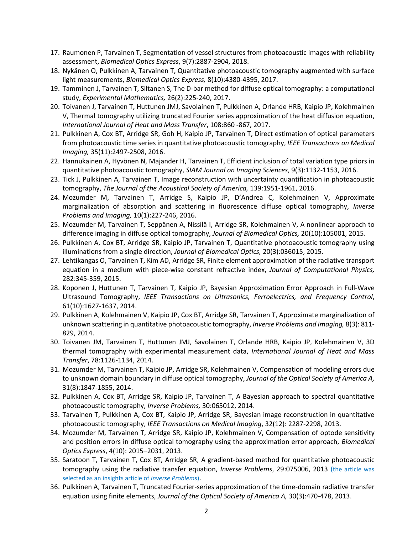- 17. Raumonen P, Tarvainen T, Segmentation of vessel structures from photoacoustic images with reliability assessment, *Biomedical Optics Express*, 9(7):2887-2904, 2018.
- 18. Nykänen O, Pulkkinen A, Tarvainen T, Quantitative photoacoustic tomography augmented with surface light measurements, *Biomedical Optics Express,* 8(10):4380-4395, 2017.
- 19. Tamminen J, Tarvainen T, Siltanen S, The D-bar method for diffuse optical tomography: a computational study, *Experimental Mathematics,* 26(2):225-240, 2017.
- 20. Toivanen J, Tarvainen T, Huttunen JMJ, Savolainen T, Pulkkinen A, Orlande HRB, Kaipio JP, Kolehmainen V, Thermal tomography utilizing truncated Fourier series approximation of the heat diffusion equation, *International Journal of Heat and Mass Transfer*, 108:860 -867, 2017.
- 21. Pulkkinen A, Cox BT, Arridge SR, Goh H, Kaipio JP, Tarvainen T, Direct estimation of optical parameters from photoacoustic time series in quantitative photoacoustic tomography, *IEEE Transactions on Medical Imaging,* 35(11):2497-2508, 2016.
- 22. Hannukainen A, Hyvönen N, Majander H, Tarvainen T, Efficient inclusion of total variation type priors in quantitative photoacoustic tomography, *SIAM Journal on Imaging Sciences*, 9(3):1132-1153, 2016.
- 23. Tick J, Pulkkinen A, Tarvainen T, Image reconstruction with uncertainty quantification in photoacoustic tomography, *The Journal of the Acoustical Society of America,* 139:1951-1961, 2016.
- 24. Mozumder M, Tarvainen T, Arridge S, Kaipio JP, D'Andrea C, Kolehmainen V, Approximate marginalization of absorption and scattering in fluorescence diffuse optical tomography, *Inverse Problems and Imaging,* 10(1):227-246, 2016.
- 25. Mozumder M, Tarvainen T, Seppänen A, Nissilä I, Arridge SR, Kolehmainen V, A nonlinear approach to difference imaging in diffuse optical tomography, *Journal of Biomedical Optics,* 20(10):105001, 2015.
- 26. Pulkkinen A, Cox BT, Arridge SR, Kaipio JP, Tarvainen T, Quantitative photoacoustic tomography using illuminations from a single direction, *Journal of Biomedical Optics,* 20(3):036015, 2015.
- 27. Lehtikangas O, Tarvainen T, Kim AD, Arridge SR, Finite element approximation of the radiative transport equation in a medium with piece-wise constant refractive index, *Journal of Computational Physics,*  282:345-359, 2015.
- 28. Koponen J, Huttunen T, Tarvainen T, Kaipio JP, Bayesian Approximation Error Approach in Full-Wave Ultrasound Tomography, *IEEE Transactions on Ultrasonics, Ferroelectrics, and Frequency Control*, 61(10):1627-1637, 2014.
- 29. Pulkkinen A, Kolehmainen V, Kaipio JP, Cox BT, Arridge SR, Tarvainen T, Approximate marginalization of unknown scattering in quantitative photoacoustic tomography, *Inverse Problems and Imaging,* 8(3): 811- 829, 2014.
- 30. Toivanen JM, Tarvainen T, Huttunen JMJ, Savolainen T, Orlande HRB, Kaipio JP, Kolehmainen V, 3D thermal tomography with experimental measurement data, *International Journal of Heat and Mass Transfer*, 78:1126-1134, 2014.
- 31. Mozumder M, Tarvainen T, Kaipio JP, Arridge SR, Kolehmainen V, Compensation of modeling errors due to unknown domain boundary in diffuse optical tomography, *Journal of the Optical Society of America A,* 31(8):1847-1855, 2014.
- 32. Pulkkinen A, Cox BT, Arridge SR, Kaipio JP, Tarvainen T, A Bayesian approach to spectral quantitative photoacoustic tomography, *Inverse Problems,* 30:065012, 2014.
- 33. Tarvainen T, Pulkkinen A, Cox BT, Kaipio JP, Arridge SR, Bayesian image reconstruction in quantitative photoacoustic tomography, *IEEE Transactions on Medical Imaging*, 32(12): 2287-2298, 2013.
- 34. Mozumder M, Tarvainen T, Arridge SR, Kaipio JP, Kolehmainen V, Compensation of optode sensitivity and position errors in diffuse optical tomography using the approximation error approach, *Biomedical Optics Express*, 4(10): 2015–2031, 2013.
- 35. Saratoon T, Tarvainen T, Cox BT, Arridge SR, A gradient-based method for quantitative photoacoustic tomography using the radiative transfer equation, *Inverse Problems*, 29:075006, 2013 (the article was selected as an insights article of *Inverse Problems*).
- 36. Pulkkinen A, Tarvainen T, Truncated Fourier-series approximation of the time-domain radiative transfer equation using finite elements, *Journal of the Optical Society of America A,* 30(3):470-478, 2013.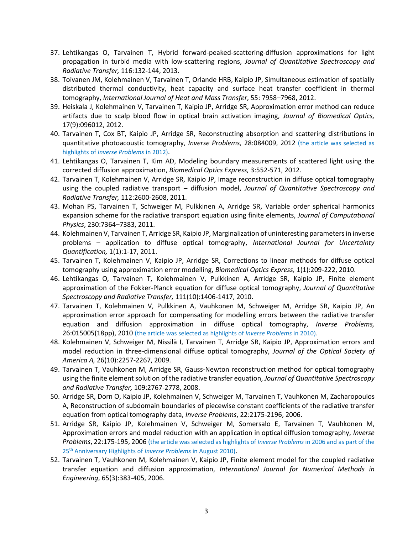- 37. Lehtikangas O, Tarvainen T, Hybrid forward-peaked-scattering-diffusion approximations for light propagation in turbid media with low-scattering regions, *Journal of Quantitative Spectroscopy and Radiative Transfer,* 116:132-144, 2013.
- 38. Toivanen JM, Kolehmainen V, Tarvainen T, Orlande HRB, Kaipio JP, Simultaneous estimation of spatially distributed thermal conductivity, heat capacity and surface heat transfer coefficient in thermal tomography, *International Journal of Heat and Mass Transfer*, 55: 7958–7968, 2012.
- 39. Heiskala J, Kolehmainen V, Tarvainen T, Kaipio JP, Arridge SR, Approximation error method can reduce artifacts due to scalp blood flow in optical brain activation imaging, *Journal of Biomedical Optics,* 17(9):096012, 2012.
- 40. Tarvainen T, Cox BT, Kaipio JP, Arridge SR, Reconstructing absorption and scattering distributions in quantitative photoacoustic tomography, *Inverse Problems,* 28:084009, 2012 (the article was selected as highlights of *Inverse Problems* in 2012).
- 41. Lehtikangas O, Tarvainen T, Kim AD, Modeling boundary measurements of scattered light using the corrected diffusion approximation, *Biomedical Optics Express,* 3:552-571, 2012.
- 42. Tarvainen T, Kolehmainen V, Arridge SR, Kaipio JP, Image reconstruction in diffuse optical tomography using the coupled radiative transport – diffusion model, *Journal of Quantitative Spectroscopy and Radiative Transfer,* 112:2600-2608, 2011.
- 43. Mohan PS, Tarvainen T, Schweiger M, Pulkkinen A, Arridge SR, Variable order spherical harmonics expansion scheme for the radiative transport equation using finite elements, *Journal of Computational Physics*, 230:7364–7383, 2011.
- 44. Kolehmainen V, Tarvainen T, Arridge SR, Kaipio JP, Marginalization of uninteresting parameters in inverse problems – application to diffuse optical tomography, *International Journal for Uncertainty Quantification,* 1(1):1-17, 2011.
- 45. Tarvainen T, Kolehmainen V, Kaipio JP, Arridge SR, Corrections to linear methods for diffuse optical tomography using approximation error modelling, *Biomedical Optics Express,* 1(1):209-222, 2010.
- 46. Lehtikangas O, Tarvainen T, Kolehmainen V, Pulkkinen A, Arridge SR, Kaipio JP, Finite element approximation of the Fokker-Planck equation for diffuse optical tomography, *Journal of Quantitative Spectroscopy and Radiative Transfer,* 111(10):1406-1417, 2010.
- 47. Tarvainen T, Kolehmainen V, Pulkkinen A, Vauhkonen M, Schweiger M, Arridge SR, Kaipio JP, An approximation error approach for compensating for modelling errors between the radiative transfer equation and diffusion approximation in diffuse optical tomography, *Inverse Problems,* 26:015005(18pp), 2010 (the article was selected as highlights of *Inverse Problems* in 2010).
- 48. Kolehmainen V, Schweiger M, Nissilä I, Tarvainen T, Arridge SR, Kaipio JP, Approximation errors and model reduction in three-dimensional diffuse optical tomography, *Journal of the Optical Society of America A,* 26(10):2257-2267, 2009.
- 49. Tarvainen T, Vauhkonen M, Arridge SR, Gauss-Newton reconstruction method for optical tomography using the finite element solution of the radiative transfer equation, *Journal of Quantitative Spectroscopy and Radiative Transfer,* 109:2767-2778, 2008.
- 50. Arridge SR, Dorn O, Kaipio JP, Kolehmainen V, Schweiger M, Tarvainen T, Vauhkonen M, Zacharopoulos A, Reconstruction of subdomain boundaries of piecewise constant coefficients of the radiative transfer equation from optical tomography data, *Inverse Problems*, 22:2175-2196, 2006.
- 51. Arridge SR, Kaipio JP, Kolehmainen V, Schweiger M, Somersalo E, Tarvainen T, Vauhkonen M, Approximation errors and model reduction with an application in optical diffusion tomography, *Inverse Problems*, 22:175-195, 2006 (the article was selected as highlights of *Inverse Problems* in 2006 and as part of the 25th Anniversary Highlights of *Inverse Problems* in August 2010).
- 52. Tarvainen T, Vauhkonen M, Kolehmainen V, Kaipio JP, Finite element model for the coupled radiative transfer equation and diffusion approximation, *International Journal for Numerical Methods in Engineering*, 65(3):383-405, 2006.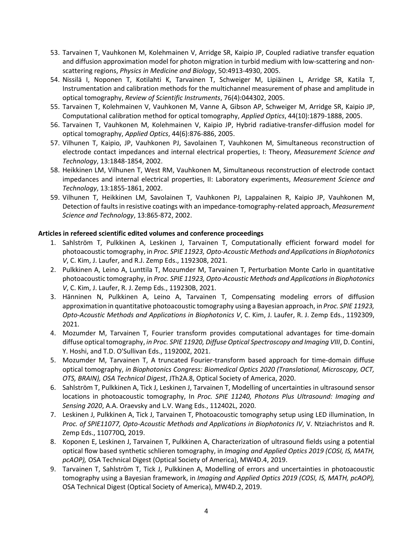- 53. Tarvainen T, Vauhkonen M, Kolehmainen V, Arridge SR, Kaipio JP, Coupled radiative transfer equation and diffusion approximation model for photon migration in turbid medium with low-scattering and nonscattering regions, *Physics in Medicine and Biology*, 50:4913-4930, 2005.
- 54. Nissilä I, Noponen T, Kotilahti K, Tarvainen T, Schweiger M, Lipiäinen L, Arridge SR, Katila T, Instrumentation and calibration methods for the multichannel measurement of phase and amplitude in optical tomography, *Review of Scientific Instruments*, 76(4):044302, 2005.
- 55. Tarvainen T, Kolehmainen V, Vauhkonen M, Vanne A, Gibson AP, Schweiger M, Arridge SR, Kaipio JP, Computational calibration method for optical tomography, *Applied Optics*, 44(10):1879-1888, 2005.
- 56. Tarvainen T, Vauhkonen M, Kolehmainen V, Kaipio JP, Hybrid radiative-transfer-diffusion model for optical tomography, *Applied Optics*, 44(6):876-886, 2005.
- 57. Vilhunen T, Kaipio, JP, Vauhkonen PJ, Savolainen T, Vauhkonen M, Simultaneous reconstruction of electrode contact impedances and internal electrical properties, I: Theory, *Measurement Science and Technology*, 13:1848-1854, 2002.
- 58. Heikkinen LM, Vilhunen T, West RM, Vauhkonen M, Simultaneous reconstruction of electrode contact impedances and internal electrical properties, II: Laboratory experiments, *Measurement Science and Technology*, 13:1855-1861, 2002.
- 59. Vilhunen T, Heikkinen LM, Savolainen T, Vauhkonen PJ, Lappalainen R, Kaipio JP, Vauhkonen M, Detection of faults in resistive coatings with an impedance-tomography-related approach, *Measurement Science and Technology*, 13:865-872, 2002.

# **Articles in refereed scientific edited volumes and conference proceedings**

- 1. Sahlström T, Pulkkinen A, Leskinen J, Tarvainen T, Computationally efficient forward model for photoacoustic tomography, in *Proc. SPIE 11923, Opto-Acoustic Methods and Applications in Biophotonics V*, C. Kim, J. Laufer, and R.J. Zemp Eds., 1192308, 2021.
- 2. Pulkkinen A, Leino A, Lunttila T, Mozumder M, Tarvainen T, Perturbation Monte Carlo in quantitative photoacoustic tomography, in *Proc. SPIE 11923, Opto-Acoustic Methods and Applications in Biophotonics V*, C. Kim, J. Laufer, R. J. Zemp Eds., 119230B, 2021.
- 3. Hänninen N, Pulkkinen A, Leino A, Tarvainen T, Compensating modeling errors of diffusion approximation in quantitative photoacoustic tomography using a Bayesian approach, in *Proc. SPIE 11923, Opto-Acoustic Methods and Applications in Biophotonics V*, C. Kim, J. Laufer, R. J. Zemp Eds., 1192309, 2021.
- 4. Mozumder M, Tarvainen T, Fourier transform provides computational advantages for time-domain diffuse optical tomography, *in Proc. SPIE 11920, Diffuse Optical Spectroscopy and Imaging VIII*, D. Contini, Y. Hoshi, and T.D. O'Sullivan Eds., 119200Z, 2021.
- 5. Mozumder M, Tarvainen T, A truncated Fourier-transform based approach for time-domain diffuse optical tomography, *in Biophotonics Congress: Biomedical Optics 2020 (Translational, Microscopy, OCT, OTS, BRAIN), OSA Technical Digest*, JTh2A.8, Optical Society of America, 2020.
- 6. Sahlström T, Pulkkinen A, Tick J, Leskinen J, Tarvainen T, Modelling of uncertainties in ultrasound sensor locations in photoacoustic tomography, In *Proc. SPIE 11240, Photons Plus Ultrasound: Imaging and Sensing 2020*, A.A. Oraevsky and L.V. Wang Eds., 112402L, 2020.
- 7. Leskinen J, Pulkkinen A, Tick J, Tarvainen T, Photoacoustic tomography setup using LED illumination, In *Proc. of SPIE11077, Opto-Acoustic Methods and Applications in Biophotonics IV*, V. Ntziachristos and R. Zemp Eds., 110770Q, 2019.
- 8. Koponen E, Leskinen J, Tarvainen T, Pulkkinen A, Characterization of ultrasound fields using a potential optical flow based synthetic schlieren tomography, in *Imaging and Applied Optics 2019 (COSI, IS, MATH, pcAOP),* OSA Technical Digest (Optical Society of America), MW4D.4, 2019.
- 9. Tarvainen T, Sahlström T, Tick J, Pulkkinen A, Modelling of errors and uncertainties in photoacoustic tomography using a Bayesian framework, in *Imaging and Applied Optics 2019 (COSI, IS, MATH, pcAOP),*  OSA Technical Digest (Optical Society of America), MW4D.2, 2019.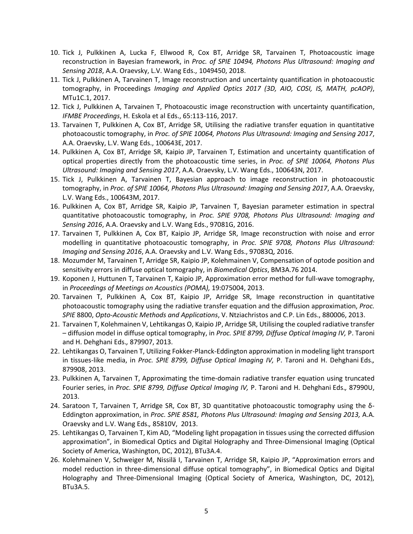- 10. Tick J, Pulkkinen A, Lucka F, Ellwood R, Cox BT, Arridge SR, Tarvainen T, Photoacoustic image reconstruction in Bayesian framework, in *Proc. of SPIE 10494, Photons Plus Ultrasound: Imaging and Sensing 2018*, A.A. Oraevsky, L.V. Wang Eds., 1049450, 2018.
- 11. Tick J, Pulkkinen A, Tarvainen T, Image reconstruction and uncertainty quantification in photoacoustic tomography, in Proceedings *Imaging and Applied Optics 2017 (3D, AIO, COSI, IS, MATH, pcAOP)*, MTu1C.1, 2017.
- 12. Tick J, Pulkkinen A, Tarvainen T, Photoacoustic image reconstruction with uncertainty quantification, *IFMBE Proceedings*, H. Eskola et al Eds., 65:113-116, 2017.
- 13. Tarvainen T, Pulkkinen A, Cox BT, Arridge SR, Utilising the radiative transfer equation in quantitative photoacoustic tomography, in *Proc. of SPIE 10064, Photons Plus Ultrasound: Imaging and Sensing 2017*, A.A. Oraevsky, L.V. Wang Eds., 100643E, 2017.
- 14. Pulkkinen A, Cox BT, Arridge SR, Kaipio JP, Tarvainen T, Estimation and uncertainty quantification of optical properties directly from the photoacoustic time series, in *Proc. of SPIE 10064, Photons Plus Ultrasound: Imaging and Sensing 2017*, A.A. Oraevsky, L.V. Wang Eds., 100643N, 2017.
- 15. Tick J, Pulkkinen A, Tarvainen T, Bayesian approach to image reconstruction in photoacoustic tomography, in *Proc. of SPIE 10064, Photons Plus Ultrasound: Imaging and Sensing 2017*, A.A. Oraevsky, L.V. Wang Eds., 100643M, 2017.
- 16. Pulkkinen A, Cox BT, Arridge SR, Kaipio JP, Tarvainen T, Bayesian parameter estimation in spectral quantitative photoacoustic tomography, in *Proc. SPIE 9708, Photons Plus Ultrasound: Imaging and Sensing 2016*, A.A. Oraevsky and L.V. Wang Eds., 97081G, 2016.
- 17. Tarvainen T, Pulkkinen A, Cox BT, Kaipio JP, Arridge SR, Image reconstruction with noise and error modelling in quantitative photoacoustic tomography, in *Proc. SPIE 9708, Photons Plus Ultrasound: Imaging and Sensing 2016*, A.A. Oraevsky and L.V. Wang Eds., 97083Q, 2016.
- 18. Mozumder M, Tarvainen T, Arridge SR, Kaipio JP, Kolehmainen V, Compensation of optode position and sensitivity errors in diffuse optical tomography, in *Biomedical Optics*, BM3A.76 2014.
- 19. Koponen J, Huttunen T, Tarvainen T, Kaipio JP, Approximation error method for full-wave tomography, in *Proceedings of Meetings on Acoustics (POMA),* 19:075004, 2013.
- 20. Tarvainen T, Pulkkinen A, Cox BT, Kaipio JP, Arridge SR, Image reconstruction in quantitative photoacoustic tomography using the radiative transfer equation and the diffusion approximation, *Proc. SPIE* 8800, *Opto-Acoustic Methods and Applications*, V. Ntziachristos and C.P. Lin Eds., 880006, 2013.
- 21. Tarvainen T, Kolehmainen V, Lehtikangas O, Kaipio JP, Arridge SR, Utilising the coupled radiative transfer – diffusion model in diffuse optical tomography, in *Proc. SPIE 8799, Diffuse Optical Imaging IV,* P. Taroni and H. Dehghani Eds.*,* 879907, 2013.
- 22. Lehtikangas O, Tarvainen T, Utilizing Fokker-Planck-Eddington approximation in modeling light transport in tissues-like media, in *Proc. SPIE 8799, Diffuse Optical Imaging IV,* P. Taroni and H. Dehghani Eds.*,*  879908, 2013.
- 23. Pulkkinen A, Tarvainen T, Approximating the time-domain radiative transfer equation using truncated Fourier series, in *Proc. SPIE 8799, Diffuse Optical Imaging IV,* P. Taroni and H. Dehghani Eds.*,* 87990U, 2013.
- 24. Saratoon T, Tarvainen T, Arridge SR, Cox BT, [3D quantitative photoacoustic tomography using the δ](http://proceedings.spiedigitallibrary.org/proceeding.aspx?articleid=1660837)-[Eddington approximation,](http://proceedings.spiedigitallibrary.org/proceeding.aspx?articleid=1660837) in *Proc. SPIE 8581, Photons Plus Ultrasound: Imaging and Sensing 2013,* A.A. Oraevsky and L.V. Wang Eds.*,* 85810V, 2013.
- 25. Lehtikangas O, Tarvainen T, Kim AD, "Modeling light propagation in tissues using the corrected diffusion approximation", in Biomedical Optics and Digital Holography and Three-Dimensional Imaging (Optical Society of America, Washington, DC, 2012), BTu3A.4.
- 26. Kolehmainen V, Schweiger M, Nissilä I, Tarvainen T, Arridge SR, Kaipio JP, "Approximation errors and model reduction in three-dimensional diffuse optical tomography", in Biomedical Optics and Digital Holography and Three-Dimensional Imaging (Optical Society of America, Washington, DC, 2012), BTu3A.5.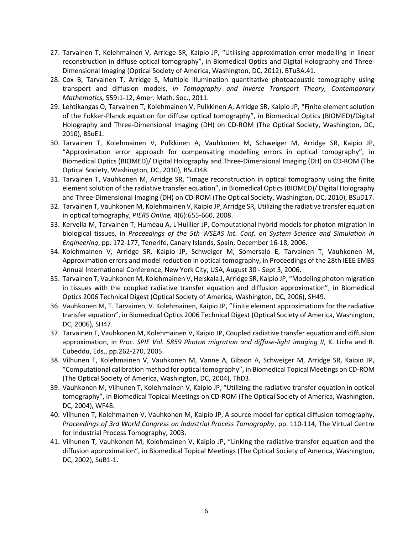- 27. Tarvainen T, Kolehmainen V, Arridge SR, Kaipio JP, "Utilising approximation error modelling in linear reconstruction in diffuse optical tomography", in Biomedical Optics and Digital Holography and Three-Dimensional Imaging (Optical Society of America, Washington, DC, 2012), BTu3A.41.
- 28. Cox B, Tarvainen T, Arridge S, Multiple illumination quantitative photoacoustic tomography using transport and diffusion models, *in Tomography and Inverse Transport Theory, Contemporary Mathematics,* 559:1-12, Amer. Math. Soc., 2011.
- 29. Lehtikangas O, Tarvainen T, Kolehmainen V, Pulkkinen A, Arridge SR, Kaipio JP, "Finite element solution of the Fokker-Planck equation for diffuse optical tomography", in Biomedical Optics (BIOMED)/Digital Holography and Three-Dimensional Imaging (DH) on CD-ROM (The Optical Society, Washington, DC, 2010), BSuE1.
- 30. Tarvainen T, Kolehmainen V, Pulkkinen A, Vauhkonen M, Schweiger M, Arridge SR, Kaipio JP, "Approximation error approach for compensating modelling errors in optical tomography", in Biomedical Optics (BIOMED)/ Digital Holography and Three‐Dimensional Imaging (DH) on CD‐ROM (The Optical Society, Washington, DC, 2010), BSuD48.
- 31. Tarvainen T, Vauhkonen M, Arridge SR, "Image reconstruction in optical tomography using the finite element solution of the radiative transfer equation", in Biomedical Optics (BIOMED)/ Digital Holography and Three‐Dimensional Imaging (DH) on CD‐ROM (The Optical Society, Washington, DC, 2010), BSuD17.
- 32. Tarvainen T, Vauhkonen M, Kolehmainen V, Kaipio JP, Arridge SR, Utilizing the radiative transfer equation in optical tomography, *PIERS Online,* 4(6):655-660, 2008.
- 33. Kervella M, Tarvainen T, Humeau A, L'Huillier JP, Computational hybrid models for photon migration in biological tissues, in *Proceedings of the 5th WSEAS Int. Conf. on System Science and Simulation in Engineering*, pp. 172-177, Tenerife, Canary Islands, Spain, December 16-18, 2006.
- 34. Kolehmainen V, Arridge SR, Kaipio JP, Schweiger M, Somersalo E, Tarvainen T, Vauhkonen M, Approximation errors and model reduction in optical tomography, in Proceedings of the 28th IEEE EMBS Annual International Conference, New York City, USA, August 30 - Sept 3, 2006.
- 35. Tarvainen T, Vauhkonen M, Kolehmainen V, Heiskala J, Arridge SR, Kaipio JP, "Modeling photon migration in tissues with the coupled radiative transfer equation and diffusion approximation", in Biomedical Optics 2006 Technical Digest (Optical Society of America, Washington, DC, 2006), SH49.
- 36. Vauhkonen M, T. Tarvainen, V. Kolehmainen, Kaipio JP, "Finite element approximations for the radiative transfer equation", in Biomedical Optics 2006 Technical Digest (Optical Society of America, Washington, DC, 2006), SH47.
- 37. Tarvainen T, Vauhkonen M, Kolehmainen V, Kaipio JP, Coupled radiative transfer equation and diffusion approximation, in *Proc. SPIE Vol. 5859 Photon migration and diffuse-light imaging II*, K. Licha and R. Cubeddu, Eds., pp.262-270, 2005.
- 38. Vilhunen T, Kolehmainen V, Vauhkonen M, Vanne A, Gibson A, Schweiger M, Arridge SR, Kaipio JP, "Computational calibration method for optical tomography", in Biomedical Topical Meetings on CD-ROM (The Optical Society of America, Washington, DC, 2004), ThD3.
- 39. Vauhkonen M, Vilhunen T, Kolehmainen V, Kaipio JP, "Utilizing the radiative transfer equation in optical tomography", in Biomedical Topical Meetings on CD-ROM (The Optical Society of America, Washington, DC, 2004), WF48.
- 40. Vilhunen T, Kolehmainen V, Vauhkonen M, Kaipio JP, A source model for optical diffusion tomography, *Proceedings of 3rd World Congress on Industrial Process Tomography*, pp. 110-114, The Virtual Centre for Industrial Process Tomography, 2003.
- 41. Vilhunen T, Vauhkonen M, Kolehmainen V, Kaipio JP, "Linking the radiative transfer equation and the diffusion approximation", in Biomedical Topical Meetings (The Optical Society of America, Washington, DC, 2002), SuB1-1.